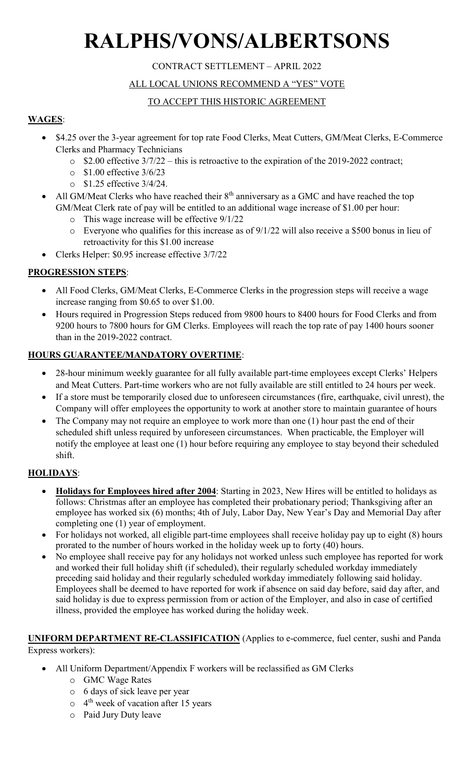# **RALPHS/VONS/ALBERTSONS**

#### CONTRACT SETTLEMENT – APRIL 2022

#### ALL LOCAL UNIONS RECOMMEND A "YES" VOTE

#### TO ACCEPT THIS HISTORIC AGREEMENT

#### **WAGES**:

- \$4.25 over the 3-year agreement for top rate Food Clerks, Meat Cutters, GM/Meat Clerks, E-Commerce Clerks and Pharmacy Technicians
	- o \$2.00 effective 3/7/22 this is retroactive to the expiration of the 2019-2022 contract;
	- o \$1.00 effective 3/6/23
	- o \$1.25 effective 3/4/24.
- All GM/Meat Clerks who have reached their  $8<sup>th</sup>$  anniversary as a GMC and have reached the top GM/Meat Clerk rate of pay will be entitled to an additional wage increase of \$1.00 per hour:
	- o This wage increase will be effective 9/1/22
	- o Everyone who qualifies for this increase as of 9/1/22 will also receive a \$500 bonus in lieu of retroactivity for this \$1.00 increase
	- Clerks Helper: \$0.95 increase effective 3/7/22

#### **PROGRESSION STEPS**:

- All Food Clerks, GM/Meat Clerks, E-Commerce Clerks in the progression steps will receive a wage increase ranging from \$0.65 to over \$1.00.
- Hours required in Progression Steps reduced from 9800 hours to 8400 hours for Food Clerks and from 9200 hours to 7800 hours for GM Clerks. Employees will reach the top rate of pay 1400 hours sooner than in the 2019-2022 contract.

#### **HOURS GUARANTEE/MANDATORY OVERTIME**:

- 28-hour minimum weekly guarantee for all fully available part-time employees except Clerks' Helpers and Meat Cutters. Part-time workers who are not fully available are still entitled to 24 hours per week.
- If a store must be temporarily closed due to unforeseen circumstances (fire, earthquake, civil unrest), the Company will offer employees the opportunity to work at another store to maintain guarantee of hours
- The Company may not require an employee to work more than one (1) hour past the end of their scheduled shift unless required by unforeseen circumstances. When practicable, the Employer will notify the employee at least one (1) hour before requiring any employee to stay beyond their scheduled shift.

#### **HOLIDAYS**:

- **Holidays for Employees hired after 2004**: Starting in 2023, New Hires will be entitled to holidays as follows: Christmas after an employee has completed their probationary period; Thanksgiving after an employee has worked six (6) months; 4th of July, Labor Day, New Year's Day and Memorial Day after completing one (1) year of employment.
- For holidays not worked, all eligible part-time employees shall receive holiday pay up to eight (8) hours prorated to the number of hours worked in the holiday week up to forty (40) hours.
- No employee shall receive pay for any holidays not worked unless such employee has reported for work and worked their full holiday shift (if scheduled), their regularly scheduled workday immediately preceding said holiday and their regularly scheduled workday immediately following said holiday. Employees shall be deemed to have reported for work if absence on said day before, said day after, and said holiday is due to express permission from or action of the Employer, and also in case of certified illness, provided the employee has worked during the holiday week.

#### **UNIFORM DEPARTMENT RE-CLASSIFICATION** (Applies to e-commerce, fuel center, sushi and Panda Express workers):

- All Uniform Department/Appendix F workers will be reclassified as GM Clerks
	- o GMC Wage Rates
	- o 6 days of sick leave per year
	- $\circ$  4<sup>th</sup> week of vacation after 15 years
	- o Paid Jury Duty leave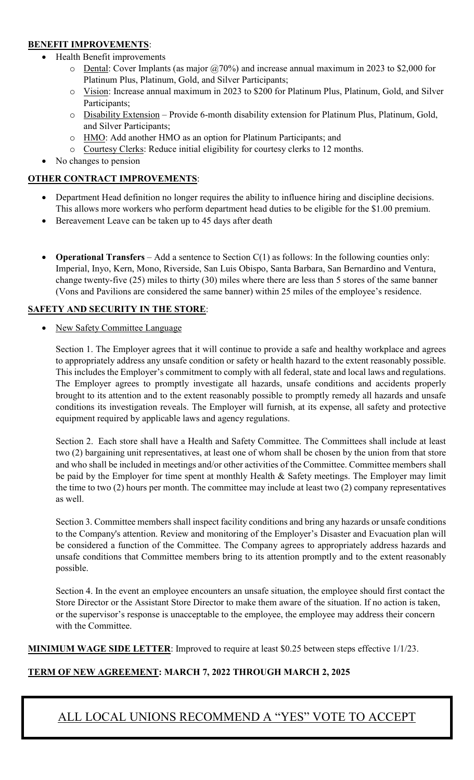#### **BENEFIT IMPROVEMENTS**:

- Health Benefit improvements
	- $\circ$  Dental: Cover Implants (as major @70%) and increase annual maximum in 2023 to \$2,000 for Platinum Plus, Platinum, Gold, and Silver Participants;
	- o Vision: Increase annual maximum in 2023 to \$200 for Platinum Plus, Platinum, Gold, and Silver Participants;
	- o Disability Extension Provide 6-month disability extension for Platinum Plus, Platinum, Gold, and Silver Participants;
	- o HMO: Add another HMO as an option for Platinum Participants; and
	- o Courtesy Clerks: Reduce initial eligibility for courtesy clerks to 12 months.
- No changes to pension

#### **OTHER CONTRACT IMPROVEMENTS**:

- Department Head definition no longer requires the ability to influence hiring and discipline decisions. This allows more workers who perform department head duties to be eligible for the \$1.00 premium.
- Bereavement Leave can be taken up to 45 days after death
- **Operational Transfers** Add a sentence to Section C(1) as follows: In the following counties only: Imperial, Inyo, Kern, Mono, Riverside, San Luis Obispo, Santa Barbara, San Bernardino and Ventura, change twenty-five (25) miles to thirty (30) miles where there are less than 5 stores of the same banner (Vons and Pavilions are considered the same banner) within 25 miles of the employee's residence.

#### **SAFETY AND SECURITY IN THE STORE**:

New Safety Committee Language

Section 1. The Employer agrees that it will continue to provide a safe and healthy workplace and agrees to appropriately address any unsafe condition or safety or health hazard to the extent reasonably possible. This includes the Employer's commitment to comply with all federal, state and local laws and regulations. The Employer agrees to promptly investigate all hazards, unsafe conditions and accidents properly brought to its attention and to the extent reasonably possible to promptly remedy all hazards and unsafe conditions its investigation reveals. The Employer will furnish, at its expense, all safety and protective equipment required by applicable laws and agency regulations.

Section 2. Each store shall have a Health and Safety Committee. The Committees shall include at least two (2) bargaining unit representatives, at least one of whom shall be chosen by the union from that store and who shall be included in meetings and/or other activities of the Committee. Committee members shall be paid by the Employer for time spent at monthly Health & Safety meetings. The Employer may limit the time to two (2) hours per month. The committee may include at least two (2) company representatives as well.

Section 3. Committee members shall inspect facility conditions and bring any hazards or unsafe conditions to the Company's attention. Review and monitoring of the Employer's Disaster and Evacuation plan will be considered a function of the Committee. The Company agrees to appropriately address hazards and unsafe conditions that Committee members bring to its attention promptly and to the extent reasonably possible.

Section 4. In the event an employee encounters an unsafe situation, the employee should first contact the Store Director or the Assistant Store Director to make them aware of the situation. If no action is taken, or the supervisor's response is unacceptable to the employee, the employee may address their concern with the Committee.

**MINIMUM WAGE SIDE LETTER**: Improved to require at least \$0.25 between steps effective 1/1/23.

#### **TERM OF NEW AGREEMENT: MARCH 7, 2022 THROUGH MARCH 2, 2025**

## ALL LOCAL UNIONS RECOMMEND A "YES" VOTE TO ACCEPT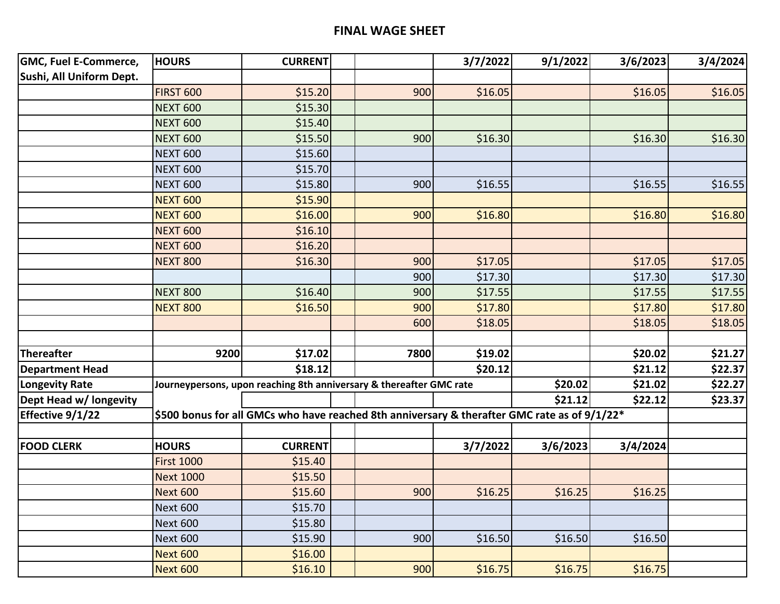#### **FINAL WAGE SHEET**

| <b>GMC, Fuel E-Commerce,</b> | <b>HOURS</b>                                                                                 | <b>CURRENT</b>                                                      |      | 3/7/2022 | 9/1/2022 | 3/6/2023 | 3/4/2024 |
|------------------------------|----------------------------------------------------------------------------------------------|---------------------------------------------------------------------|------|----------|----------|----------|----------|
| Sushi, All Uniform Dept.     |                                                                                              |                                                                     |      |          |          |          |          |
|                              | <b>FIRST 600</b>                                                                             | \$15.20                                                             | 900  | \$16.05  |          | \$16.05  | \$16.05  |
|                              | <b>NEXT 600</b>                                                                              | \$15.30                                                             |      |          |          |          |          |
|                              | <b>NEXT 600</b>                                                                              | \$15.40                                                             |      |          |          |          |          |
|                              | <b>NEXT 600</b>                                                                              | \$15.50                                                             | 900  | \$16.30  |          | \$16.30  | \$16.30  |
|                              | <b>NEXT 600</b>                                                                              | \$15.60                                                             |      |          |          |          |          |
|                              | <b>NEXT 600</b>                                                                              | \$15.70                                                             |      |          |          |          |          |
|                              | <b>NEXT 600</b>                                                                              | \$15.80                                                             | 900  | \$16.55  |          | \$16.55  | \$16.55  |
|                              | <b>NEXT 600</b>                                                                              | \$15.90                                                             |      |          |          |          |          |
|                              | <b>NEXT 600</b>                                                                              | \$16.00                                                             | 900  | \$16.80  |          | \$16.80  | \$16.80  |
|                              | <b>NEXT 600</b>                                                                              | \$16.10                                                             |      |          |          |          |          |
|                              | <b>NEXT 600</b>                                                                              | \$16.20                                                             |      |          |          |          |          |
|                              | <b>NEXT 800</b>                                                                              | \$16.30                                                             | 900  | \$17.05  |          | \$17.05  | \$17.05  |
|                              |                                                                                              |                                                                     | 900  | \$17.30  |          | \$17.30  | \$17.30  |
|                              | <b>NEXT 800</b>                                                                              | \$16.40                                                             | 900  | \$17.55  |          | \$17.55  | \$17.55  |
|                              | <b>NEXT 800</b>                                                                              | \$16.50                                                             | 900  | \$17.80  |          | \$17.80  | \$17.80  |
|                              |                                                                                              |                                                                     | 600  | \$18.05  |          | \$18.05  | \$18.05  |
|                              |                                                                                              |                                                                     |      |          |          |          |          |
| Thereafter                   | 9200                                                                                         | \$17.02                                                             | 7800 | \$19.02  |          | \$20.02  | \$21.27  |
| <b>Department Head</b>       |                                                                                              | \$18.12                                                             |      | \$20.12  |          | \$21.12  | \$22.37  |
| <b>Longevity Rate</b>        |                                                                                              | Journeypersons, upon reaching 8th anniversary & thereafter GMC rate |      |          | \$20.02  | \$21.02  | \$22.27  |
| Dept Head w/ longevity       |                                                                                              |                                                                     |      |          | \$21.12  | \$22.12  | \$23.37  |
| Effective 9/1/22             | \$500 bonus for all GMCs who have reached 8th anniversary & therafter GMC rate as of 9/1/22* |                                                                     |      |          |          |          |          |
|                              |                                                                                              |                                                                     |      |          |          |          |          |
| <b>FOOD CLERK</b>            | <b>HOURS</b>                                                                                 | <b>CURRENT</b>                                                      |      | 3/7/2022 | 3/6/2023 | 3/4/2024 |          |
|                              | <b>First 1000</b>                                                                            | \$15.40                                                             |      |          |          |          |          |
|                              | <b>Next 1000</b>                                                                             | \$15.50                                                             |      |          |          |          |          |
|                              | <b>Next 600</b>                                                                              | \$15.60                                                             | 900  | \$16.25  | \$16.25  | \$16.25  |          |
|                              | Next 600                                                                                     | \$15.70                                                             |      |          |          |          |          |
|                              | <b>Next 600</b>                                                                              | \$15.80                                                             |      |          |          |          |          |
|                              | Next 600                                                                                     | \$15.90                                                             | 900  | \$16.50  | \$16.50  | \$16.50  |          |
|                              | <b>Next 600</b>                                                                              | \$16.00                                                             |      |          |          |          |          |
|                              | <b>Next 600</b>                                                                              | \$16.10                                                             | 900  | \$16.75  | \$16.75  | \$16.75  |          |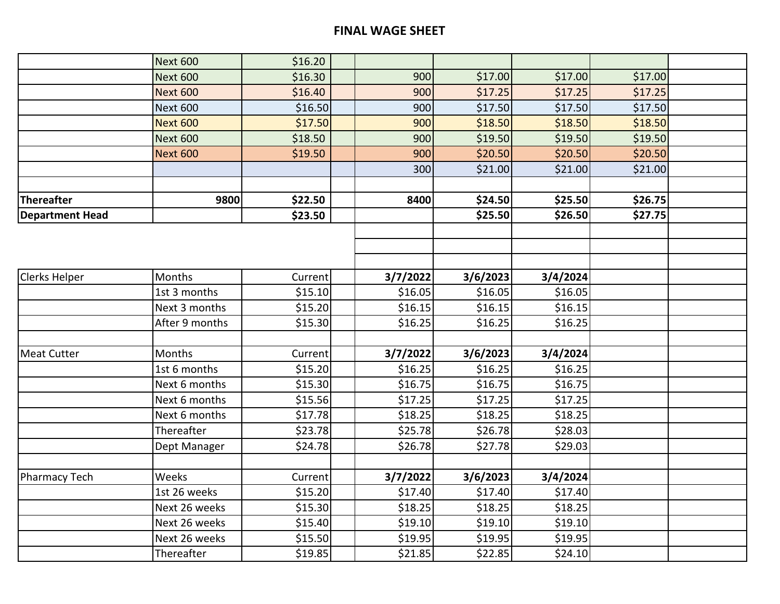|                        | <b>Next 600</b> | \$16.20 |          |          |          |         |  |
|------------------------|-----------------|---------|----------|----------|----------|---------|--|
|                        | <b>Next 600</b> | \$16.30 | 900      | \$17.00  | \$17.00  | \$17.00 |  |
|                        | <b>Next 600</b> | \$16.40 | 900      | \$17.25  | \$17.25  | \$17.25 |  |
|                        | <b>Next 600</b> | \$16.50 | 900      | \$17.50  | \$17.50  | \$17.50 |  |
|                        | <b>Next 600</b> | \$17.50 | 900      | \$18.50  | \$18.50  | \$18.50 |  |
|                        | <b>Next 600</b> | \$18.50 | 900      | \$19.50  | \$19.50  | \$19.50 |  |
|                        | <b>Next 600</b> | \$19.50 | 900      | \$20.50  | \$20.50  | \$20.50 |  |
|                        |                 |         | 300      | \$21.00  | \$21.00  | \$21.00 |  |
|                        |                 |         |          |          |          |         |  |
| Thereafter             | 9800            | \$22.50 | 8400     | \$24.50  | \$25.50  | \$26.75 |  |
| <b>Department Head</b> |                 | \$23.50 |          | \$25.50  | \$26.50  | \$27.75 |  |
|                        |                 |         |          |          |          |         |  |
|                        |                 |         |          |          |          |         |  |
|                        |                 |         |          |          |          |         |  |
| Clerks Helper          | Months          | Current | 3/7/2022 | 3/6/2023 | 3/4/2024 |         |  |
|                        | 1st 3 months    | \$15.10 | \$16.05  | \$16.05  | \$16.05  |         |  |
|                        | Next 3 months   | \$15.20 | \$16.15  | \$16.15  | \$16.15  |         |  |
|                        | After 9 months  | \$15.30 | \$16.25  | \$16.25  | \$16.25  |         |  |
|                        |                 |         |          |          |          |         |  |
| <b>Meat Cutter</b>     | Months          | Current | 3/7/2022 | 3/6/2023 | 3/4/2024 |         |  |
|                        | 1st 6 months    | \$15.20 | \$16.25  | \$16.25  | \$16.25  |         |  |
|                        | Next 6 months   | \$15.30 | \$16.75  | \$16.75  | \$16.75  |         |  |
|                        | Next 6 months   | \$15.56 | \$17.25  | \$17.25  | \$17.25  |         |  |
|                        | Next 6 months   | \$17.78 | \$18.25  | \$18.25  | \$18.25  |         |  |
|                        | Thereafter      | \$23.78 | \$25.78  | \$26.78  | \$28.03  |         |  |
|                        | Dept Manager    | \$24.78 | \$26.78  | \$27.78  | \$29.03  |         |  |
|                        |                 |         |          |          |          |         |  |
| Pharmacy Tech          | Weeks           | Current | 3/7/2022 | 3/6/2023 | 3/4/2024 |         |  |
|                        | 1st 26 weeks    | \$15.20 | \$17.40  | \$17.40  | \$17.40  |         |  |
|                        | Next 26 weeks   | \$15.30 | \$18.25  | \$18.25  | \$18.25  |         |  |
|                        | Next 26 weeks   | \$15.40 | \$19.10  | \$19.10  | \$19.10  |         |  |
|                        | Next 26 weeks   | \$15.50 | \$19.95  | \$19.95  | \$19.95  |         |  |
|                        | Thereafter      | \$19.85 | \$21.85  | \$22.85  | \$24.10  |         |  |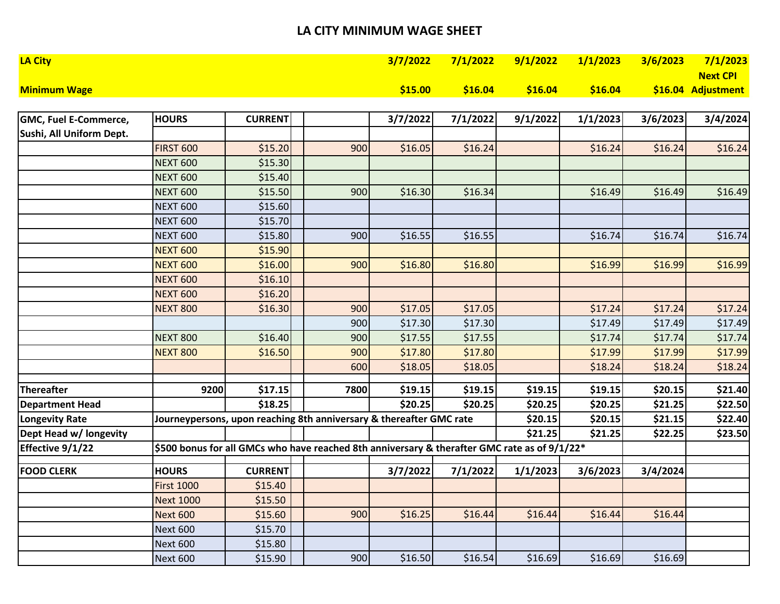#### **LA CITY MINIMUM WAGE SHEET**

| <b>LA City</b>      |         | 3/7/2022 7/1/2022 9/1/2022 1/1/2023 3/6/2023 7/1/2023 |                                                |                 |
|---------------------|---------|-------------------------------------------------------|------------------------------------------------|-----------------|
|                     |         |                                                       |                                                | <b>Next CPI</b> |
| <b>Minimum Wage</b> | \$15.00 | $$\sf 516.04$$                                        | $$16.04$ $$16.04$ $$16.04$ $$16.04$ Adjustment |                 |

| <b>GMC, Fuel E-Commerce,</b> | <b>HOURS</b>      | <b>CURRENT</b> |                                                                                                 | 3/7/2022 | 7/1/2022 | 9/1/2022 | 1/1/2023 | 3/6/2023 | 3/4/2024 |
|------------------------------|-------------------|----------------|-------------------------------------------------------------------------------------------------|----------|----------|----------|----------|----------|----------|
| Sushi, All Uniform Dept.     |                   |                |                                                                                                 |          |          |          |          |          |          |
|                              | <b>FIRST 600</b>  | \$15.20        | 900                                                                                             | \$16.05  | \$16.24  |          | \$16.24  | \$16.24  | \$16.24  |
|                              | <b>NEXT 600</b>   | \$15.30        |                                                                                                 |          |          |          |          |          |          |
|                              | <b>NEXT 600</b>   | \$15.40        |                                                                                                 |          |          |          |          |          |          |
|                              | <b>NEXT 600</b>   | \$15.50        | 900                                                                                             | \$16.30  | \$16.34  |          | \$16.49  | \$16.49  | \$16.49  |
|                              | <b>NEXT 600</b>   | \$15.60        |                                                                                                 |          |          |          |          |          |          |
|                              | <b>NEXT 600</b>   | \$15.70        |                                                                                                 |          |          |          |          |          |          |
|                              | <b>NEXT 600</b>   | \$15.80        | 900                                                                                             | \$16.55  | \$16.55  |          | \$16.74  | \$16.74  | \$16.74  |
|                              | <b>NEXT 600</b>   | \$15.90        |                                                                                                 |          |          |          |          |          |          |
|                              | <b>NEXT 600</b>   | \$16.00        | 900                                                                                             | \$16.80  | \$16.80  |          | \$16.99  | \$16.99  | \$16.99  |
|                              | <b>NEXT 600</b>   | \$16.10        |                                                                                                 |          |          |          |          |          |          |
|                              | <b>NEXT 600</b>   | \$16.20        |                                                                                                 |          |          |          |          |          |          |
|                              | <b>NEXT 800</b>   | \$16.30        | 900                                                                                             | \$17.05  | \$17.05  |          | \$17.24  | \$17.24  | \$17.24  |
|                              |                   |                | 900                                                                                             | \$17.30  | \$17.30  |          | \$17.49  | \$17.49  | \$17.49  |
|                              | <b>NEXT 800</b>   | \$16.40        | 900                                                                                             | \$17.55  | \$17.55  |          | \$17.74  | \$17.74  | \$17.74  |
|                              | <b>NEXT 800</b>   | \$16.50        | 900                                                                                             | \$17.80  | \$17.80  |          | \$17.99  | \$17.99  | \$17.99  |
|                              |                   |                | 600                                                                                             | \$18.05  | \$18.05  |          | \$18.24  | \$18.24  | \$18.24  |
| Thereafter                   | 9200              | \$17.15        | 7800                                                                                            | \$19.15  | \$19.15  | \$19.15  | \$19.15  | \$20.15  | \$21.40  |
| <b>Department Head</b>       |                   | \$18.25        |                                                                                                 | \$20.25  | \$20.25  | \$20.25  | \$20.25  | \$21.25  | \$22.50  |
| <b>Longevity Rate</b>        |                   |                | Journeypersons, upon reaching 8th anniversary & thereafter GMC rate                             |          |          | \$20.15  | \$20.15  | \$21.15  | \$22.40  |
| Dept Head w/ longevity       |                   |                |                                                                                                 |          |          | \$21.25  | \$21.25  | \$22.25  | \$23.50  |
| Effective 9/1/22             |                   |                | \$500 bonus for all GMCs who have reached 8th anniversary & therafter GMC rate as of $9/1/22^*$ |          |          |          |          |          |          |
|                              |                   |                |                                                                                                 |          |          |          |          |          |          |
| <b>FOOD CLERK</b>            | <b>HOURS</b>      | <b>CURRENT</b> |                                                                                                 | 3/7/2022 | 7/1/2022 | 1/1/2023 | 3/6/2023 | 3/4/2024 |          |
|                              | <b>First 1000</b> | \$15.40        |                                                                                                 |          |          |          |          |          |          |
|                              | <b>Next 1000</b>  | \$15.50        |                                                                                                 |          |          |          |          |          |          |
|                              | <b>Next 600</b>   | \$15.60        | 900                                                                                             | \$16.25  | \$16.44  | \$16.44  | \$16.44  | \$16.44  |          |
|                              | <b>Next 600</b>   | \$15.70        |                                                                                                 |          |          |          |          |          |          |
|                              | <b>Next 600</b>   | \$15.80        |                                                                                                 |          |          |          |          |          |          |
|                              | <b>Next 600</b>   | \$15.90        | 900                                                                                             | \$16.50  | \$16.54  | \$16.69  | \$16.69  | \$16.69  |          |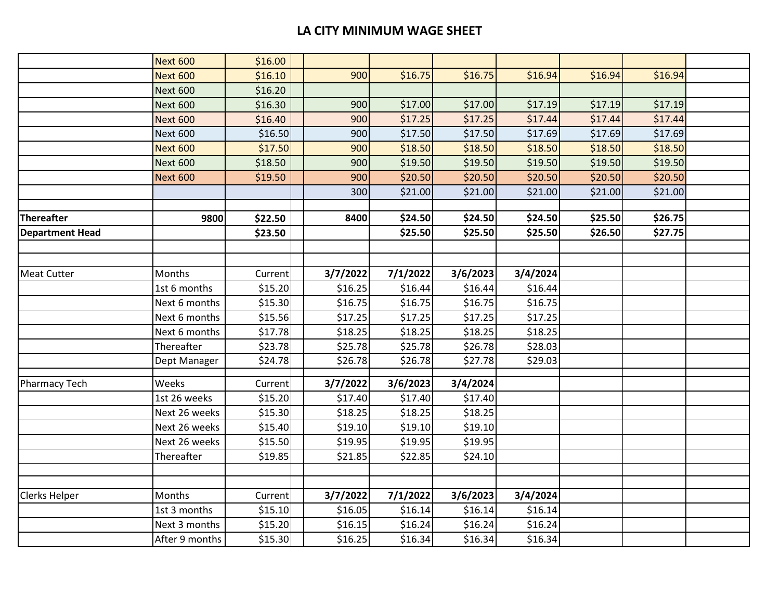#### **LA CITY MINIMUM WAGE SHEET**

|                        | <b>Next 600</b> | \$16.00 |          |          |          |          |         |         |  |
|------------------------|-----------------|---------|----------|----------|----------|----------|---------|---------|--|
|                        | <b>Next 600</b> | \$16.10 | 900      | \$16.75  | \$16.75  | \$16.94  | \$16.94 | \$16.94 |  |
|                        | <b>Next 600</b> | \$16.20 |          |          |          |          |         |         |  |
|                        | <b>Next 600</b> | \$16.30 | 900      | \$17.00  | \$17.00  | \$17.19  | \$17.19 | \$17.19 |  |
|                        | <b>Next 600</b> | \$16.40 | 900      | \$17.25  | \$17.25  | \$17.44  | \$17.44 | \$17.44 |  |
|                        | <b>Next 600</b> | \$16.50 | 900      | \$17.50  | \$17.50  | \$17.69  | \$17.69 | \$17.69 |  |
|                        | <b>Next 600</b> | \$17.50 | 900      | \$18.50  | \$18.50  | \$18.50  | \$18.50 | \$18.50 |  |
|                        | <b>Next 600</b> | \$18.50 | 900      | \$19.50  | \$19.50  | \$19.50  | \$19.50 | \$19.50 |  |
|                        | <b>Next 600</b> | \$19.50 | 900      | \$20.50  | \$20.50  | \$20.50  | \$20.50 | \$20.50 |  |
|                        |                 |         | 300      | \$21.00  | \$21.00  | \$21.00  | \$21.00 | \$21.00 |  |
|                        |                 |         |          |          |          |          |         |         |  |
| <b>Thereafter</b>      | 9800            | \$22.50 | 8400     | \$24.50  | \$24.50  | \$24.50  | \$25.50 | \$26.75 |  |
| <b>Department Head</b> |                 | \$23.50 |          | \$25.50  | \$25.50  | \$25.50  | \$26.50 | \$27.75 |  |
|                        |                 |         |          |          |          |          |         |         |  |
|                        |                 |         |          |          |          |          |         |         |  |
| <b>Meat Cutter</b>     | Months          | Current | 3/7/2022 | 7/1/2022 | 3/6/2023 | 3/4/2024 |         |         |  |
|                        | 1st 6 months    | \$15.20 | \$16.25  | \$16.44  | \$16.44  | \$16.44  |         |         |  |
|                        | Next 6 months   | \$15.30 | \$16.75  | \$16.75  | \$16.75  | \$16.75  |         |         |  |
|                        | Next 6 months   | \$15.56 | \$17.25  | \$17.25  | \$17.25  | \$17.25  |         |         |  |
|                        | Next 6 months   | \$17.78 | \$18.25  | \$18.25  | \$18.25  | \$18.25  |         |         |  |
|                        | Thereafter      | \$23.78 | \$25.78  | \$25.78  | \$26.78  | \$28.03  |         |         |  |
|                        | Dept Manager    | \$24.78 | \$26.78  | \$26.78  | \$27.78  | \$29.03  |         |         |  |
| Pharmacy Tech          | Weeks           | Current | 3/7/2022 | 3/6/2023 | 3/4/2024 |          |         |         |  |
|                        | 1st 26 weeks    | \$15.20 | \$17.40  | \$17.40  | \$17.40  |          |         |         |  |
|                        | Next 26 weeks   | \$15.30 | \$18.25  | \$18.25  | \$18.25  |          |         |         |  |
|                        | Next 26 weeks   | \$15.40 | \$19.10  | \$19.10  | \$19.10  |          |         |         |  |
|                        | Next 26 weeks   | \$15.50 | \$19.95  | \$19.95  | \$19.95  |          |         |         |  |
|                        | Thereafter      | \$19.85 | \$21.85  | \$22.85  | \$24.10  |          |         |         |  |
|                        |                 |         |          |          |          |          |         |         |  |
|                        |                 |         |          |          |          |          |         |         |  |
| <b>Clerks Helper</b>   | <b>Months</b>   | Current | 3/7/2022 | 7/1/2022 | 3/6/2023 | 3/4/2024 |         |         |  |
|                        | 1st 3 months    | \$15.10 | \$16.05  | \$16.14  | \$16.14  | \$16.14  |         |         |  |
|                        | Next 3 months   | \$15.20 | \$16.15  | \$16.24  | \$16.24  | \$16.24  |         |         |  |
|                        | After 9 months  | \$15.30 | \$16.25  | \$16.34  | \$16.34  | \$16.34  |         |         |  |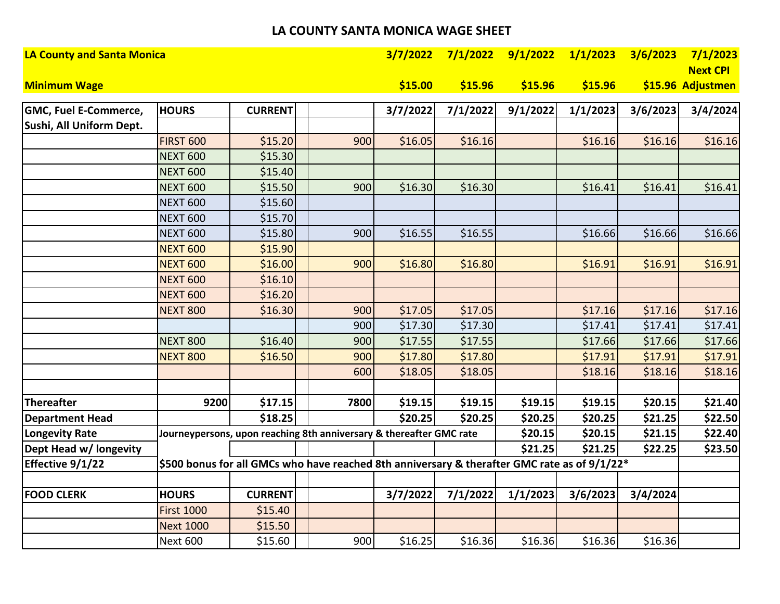#### **LA COUNTY SANTA MONICA WAGE SHEET**

| <b>LA County and Santa Monica</b> |                   |                |                                                                                              | 3/7/2022 | 7/1/2022 | 9/1/2022 | 1/1/2023 | 3/6/2023 | 7/1/2023          |
|-----------------------------------|-------------------|----------------|----------------------------------------------------------------------------------------------|----------|----------|----------|----------|----------|-------------------|
|                                   |                   |                |                                                                                              |          |          |          |          |          | <b>Next CPI</b>   |
| <b>Minimum Wage</b>               |                   |                |                                                                                              | \$15.00  | \$15.96  | \$15.96  | \$15.96  |          | \$15.96 Adjustmen |
| <b>GMC, Fuel E-Commerce,</b>      | <b>HOURS</b>      | <b>CURRENT</b> |                                                                                              | 3/7/2022 | 7/1/2022 | 9/1/2022 | 1/1/2023 | 3/6/2023 | 3/4/2024          |
| Sushi, All Uniform Dept.          |                   |                |                                                                                              |          |          |          |          |          |                   |
|                                   | <b>FIRST 600</b>  | \$15.20        | 900                                                                                          | \$16.05  | \$16.16  |          | \$16.16  | \$16.16  | \$16.16           |
|                                   | <b>NEXT 600</b>   | \$15.30        |                                                                                              |          |          |          |          |          |                   |
|                                   | <b>NEXT 600</b>   | \$15.40        |                                                                                              |          |          |          |          |          |                   |
|                                   | <b>NEXT 600</b>   | \$15.50        | 900                                                                                          | \$16.30  | \$16.30  |          | \$16.41  | \$16.41  | \$16.41           |
|                                   | <b>NEXT 600</b>   | \$15.60        |                                                                                              |          |          |          |          |          |                   |
|                                   | <b>NEXT 600</b>   | \$15.70        |                                                                                              |          |          |          |          |          |                   |
|                                   | <b>NEXT 600</b>   | \$15.80        | 900                                                                                          | \$16.55  | \$16.55  |          | \$16.66  | \$16.66  | \$16.66           |
|                                   | <b>NEXT 600</b>   | \$15.90        |                                                                                              |          |          |          |          |          |                   |
|                                   | <b>NEXT 600</b>   | \$16.00        | 900                                                                                          | \$16.80  | \$16.80  |          | \$16.91  | \$16.91  | \$16.91           |
|                                   | <b>NEXT 600</b>   | \$16.10        |                                                                                              |          |          |          |          |          |                   |
|                                   | <b>NEXT 600</b>   | \$16.20        |                                                                                              |          |          |          |          |          |                   |
|                                   | <b>NEXT 800</b>   | \$16.30        | 900                                                                                          | \$17.05  | \$17.05  |          | \$17.16  | \$17.16  | \$17.16           |
|                                   |                   |                | 900                                                                                          | \$17.30  | \$17.30  |          | \$17.41  | \$17.41  | \$17.41           |
|                                   | <b>NEXT 800</b>   | \$16.40        | 900                                                                                          | \$17.55  | \$17.55  |          | \$17.66  | \$17.66  | \$17.66           |
|                                   | <b>NEXT 800</b>   | \$16.50        | 900                                                                                          | \$17.80  | \$17.80  |          | \$17.91  | \$17.91  | \$17.91           |
|                                   |                   |                | 600                                                                                          | \$18.05  | \$18.05  |          | \$18.16  | \$18.16  | \$18.16           |
|                                   |                   |                |                                                                                              |          |          |          |          |          |                   |
| <b>Thereafter</b>                 | 9200              | \$17.15        | 7800                                                                                         | \$19.15  | \$19.15  | \$19.15  | \$19.15  | \$20.15  | \$21.40           |
| <b>Department Head</b>            |                   | \$18.25        |                                                                                              | \$20.25  | \$20.25  | \$20.25  | \$20.25  | \$21.25  | \$22.50           |
| <b>Longevity Rate</b>             |                   |                | Journeypersons, upon reaching 8th anniversary & thereafter GMC rate                          |          |          | \$20.15  | \$20.15  | \$21.15  | \$22.40           |
| Dept Head w/ longevity            |                   |                |                                                                                              |          |          | \$21.25  | \$21.25  | \$22.25  | \$23.50           |
| Effective 9/1/22                  |                   |                | \$500 bonus for all GMCs who have reached 8th anniversary & therafter GMC rate as of 9/1/22* |          |          |          |          |          |                   |
|                                   |                   |                |                                                                                              |          |          |          |          |          |                   |
| <b>FOOD CLERK</b>                 | <b>HOURS</b>      | <b>CURRENT</b> |                                                                                              | 3/7/2022 | 7/1/2022 | 1/1/2023 | 3/6/2023 | 3/4/2024 |                   |
|                                   | <b>First 1000</b> | \$15.40        |                                                                                              |          |          |          |          |          |                   |
|                                   | <b>Next 1000</b>  | \$15.50        |                                                                                              |          |          |          |          |          |                   |
|                                   | <b>Next 600</b>   | \$15.60        | 900                                                                                          | \$16.25  | \$16.36  | \$16.36  | \$16.36  | \$16.36  |                   |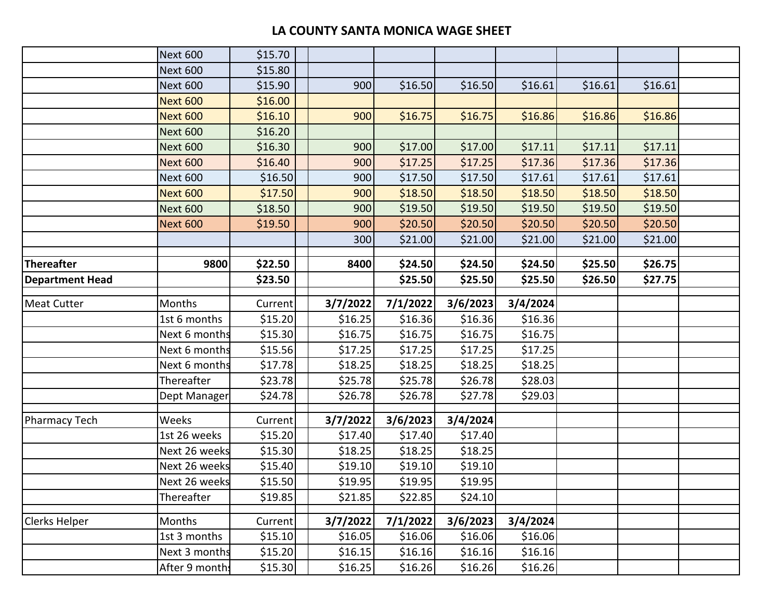#### **LA COUNTY SANTA MONICA WAGE SHEET**

|                        | <b>Next 600</b> | \$15.70 |          |          |          |          |         |         |  |
|------------------------|-----------------|---------|----------|----------|----------|----------|---------|---------|--|
|                        | <b>Next 600</b> | \$15.80 |          |          |          |          |         |         |  |
|                        | <b>Next 600</b> | \$15.90 | 900      | \$16.50  | \$16.50  | \$16.61  | \$16.61 | \$16.61 |  |
|                        | <b>Next 600</b> | \$16.00 |          |          |          |          |         |         |  |
|                        | <b>Next 600</b> | \$16.10 | 900      | \$16.75  | \$16.75  | \$16.86  | \$16.86 | \$16.86 |  |
|                        | <b>Next 600</b> | \$16.20 |          |          |          |          |         |         |  |
|                        | <b>Next 600</b> | \$16.30 | 900      | \$17.00  | \$17.00  | \$17.11  | \$17.11 | \$17.11 |  |
|                        | <b>Next 600</b> | \$16.40 | 900      | \$17.25  | \$17.25  | \$17.36  | \$17.36 | \$17.36 |  |
|                        | <b>Next 600</b> | \$16.50 | 900      | \$17.50  | \$17.50  | \$17.61  | \$17.61 | \$17.61 |  |
|                        | <b>Next 600</b> | \$17.50 | 900      | \$18.50  | \$18.50  | \$18.50  | \$18.50 | \$18.50 |  |
|                        | <b>Next 600</b> | \$18.50 | 900      | \$19.50  | \$19.50  | \$19.50  | \$19.50 | \$19.50 |  |
|                        | <b>Next 600</b> | \$19.50 | 900      | \$20.50  | \$20.50  | \$20.50  | \$20.50 | \$20.50 |  |
|                        |                 |         | 300      | \$21.00  | \$21.00  | \$21.00  | \$21.00 | \$21.00 |  |
|                        |                 |         |          |          |          |          |         |         |  |
| <b>Thereafter</b>      | 9800            | \$22.50 | 8400     | \$24.50  | \$24.50  | \$24.50  | \$25.50 | \$26.75 |  |
| <b>Department Head</b> |                 | \$23.50 |          | \$25.50  | \$25.50  | \$25.50  | \$26.50 | \$27.75 |  |
| <b>Meat Cutter</b>     | Months          | Current | 3/7/2022 | 7/1/2022 | 3/6/2023 | 3/4/2024 |         |         |  |
|                        | 1st 6 months    | \$15.20 | \$16.25  | \$16.36  | \$16.36  | \$16.36  |         |         |  |
|                        | Next 6 months   | \$15.30 | \$16.75  | \$16.75  | \$16.75  | \$16.75  |         |         |  |
|                        | Next 6 months   | \$15.56 | \$17.25  | \$17.25  | \$17.25  | \$17.25  |         |         |  |
|                        | Next 6 months   | \$17.78 | \$18.25  | \$18.25  | \$18.25  | \$18.25  |         |         |  |
|                        | Thereafter      | \$23.78 | \$25.78  | \$25.78  | \$26.78  | \$28.03  |         |         |  |
|                        | Dept Manager    | \$24.78 | \$26.78  | \$26.78  | \$27.78  | \$29.03  |         |         |  |
|                        |                 |         |          |          |          |          |         |         |  |
| Pharmacy Tech          | Weeks           | Current | 3/7/2022 | 3/6/2023 | 3/4/2024 |          |         |         |  |
|                        | 1st 26 weeks    | \$15.20 | \$17.40  | \$17.40  | \$17.40  |          |         |         |  |
|                        | Next 26 weeks   | \$15.30 | \$18.25  | \$18.25  | \$18.25  |          |         |         |  |
|                        | Next 26 weeks   | \$15.40 | \$19.10  | \$19.10  | \$19.10  |          |         |         |  |
|                        | Next 26 weeks   | \$15.50 | \$19.95  | \$19.95  | \$19.95  |          |         |         |  |
|                        | Thereafter      | \$19.85 | \$21.85  | \$22.85  | \$24.10  |          |         |         |  |
| Clerks Helper          | Months          | Current | 3/7/2022 | 7/1/2022 | 3/6/2023 | 3/4/2024 |         |         |  |
|                        | 1st 3 months    | \$15.10 | \$16.05  | \$16.06  | \$16.06  | \$16.06  |         |         |  |
|                        | Next 3 months   | \$15.20 | \$16.15  | \$16.16  | \$16.16  | \$16.16  |         |         |  |
|                        | After 9 month:  | \$15.30 | \$16.25  | \$16.26  | \$16.26  | \$16.26  |         |         |  |
|                        |                 |         |          |          |          |          |         |         |  |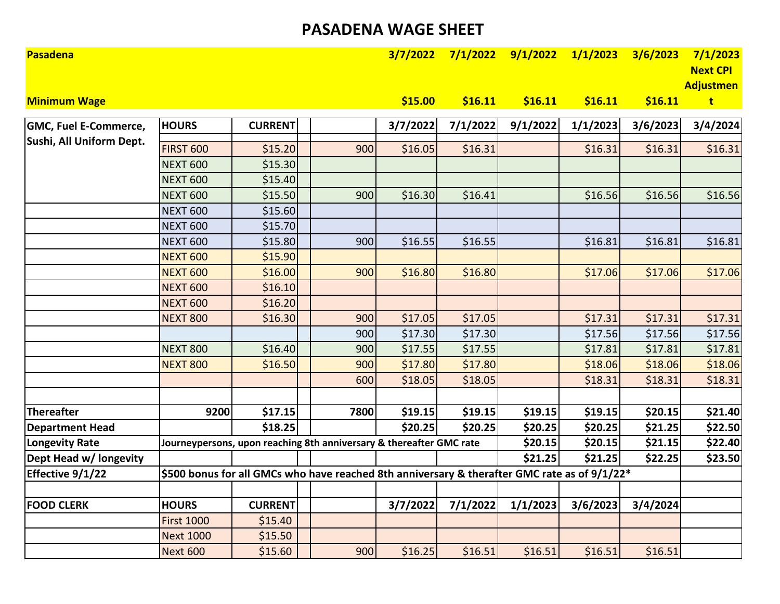### **PASADENA WAGE SHEET**

| <b>Pasadena</b>              |                                                                                              |                |      |          | $3/7/2022$ $7/1/2022$ $9/1/2022$ $1/1/2023$ |          |          | 3/6/2023 | 7/1/2023<br><b>Next CPI</b><br><b>Adjustmen</b> |
|------------------------------|----------------------------------------------------------------------------------------------|----------------|------|----------|---------------------------------------------|----------|----------|----------|-------------------------------------------------|
| <b>Minimum Wage</b>          |                                                                                              |                |      | \$15.00  | \$16.11                                     | \$16.11  | \$16.11  | \$16.11  | $\mathbf{t}$                                    |
| <b>GMC, Fuel E-Commerce,</b> | <b>HOURS</b>                                                                                 | <b>CURRENT</b> |      | 3/7/2022 | 7/1/2022                                    | 9/1/2022 | 1/1/2023 | 3/6/2023 | 3/4/2024                                        |
| Sushi, All Uniform Dept.     | <b>FIRST 600</b>                                                                             | \$15.20        | 900  | \$16.05  | \$16.31                                     |          | \$16.31  | \$16.31  | \$16.31                                         |
|                              | <b>NEXT 600</b>                                                                              | \$15.30        |      |          |                                             |          |          |          |                                                 |
|                              | <b>NEXT 600</b>                                                                              | \$15.40        |      |          |                                             |          |          |          |                                                 |
|                              | <b>NEXT 600</b>                                                                              | \$15.50        | 900  | \$16.30  | \$16.41                                     |          | \$16.56  | \$16.56  | \$16.56                                         |
|                              | <b>NEXT 600</b>                                                                              | \$15.60        |      |          |                                             |          |          |          |                                                 |
|                              | <b>NEXT 600</b>                                                                              | \$15.70        |      |          |                                             |          |          |          |                                                 |
|                              | <b>NEXT 600</b>                                                                              | \$15.80        | 900  | \$16.55  | \$16.55                                     |          | \$16.81  | \$16.81  |                                                 |
|                              | <b>NEXT 600</b>                                                                              | \$15.90        |      |          |                                             |          |          |          | \$16.81                                         |
|                              | <b>NEXT 600</b>                                                                              | \$16.00        | 900  | \$16.80  | \$16.80                                     |          | \$17.06  | \$17.06  | \$17.06                                         |
|                              | <b>NEXT 600</b>                                                                              | \$16.10        |      |          |                                             |          |          |          |                                                 |
|                              | <b>NEXT 600</b>                                                                              | \$16.20        |      |          |                                             |          |          |          |                                                 |
|                              | <b>NEXT 800</b>                                                                              | \$16.30        | 900  | \$17.05  | \$17.05                                     |          | \$17.31  | \$17.31  | \$17.31                                         |
|                              |                                                                                              |                | 900  | \$17.30  | \$17.30                                     |          | \$17.56  | \$17.56  | \$17.56                                         |
|                              | <b>NEXT 800</b>                                                                              | \$16.40        | 900  | \$17.55  | \$17.55                                     |          | \$17.81  | \$17.81  | \$17.81                                         |
|                              | <b>NEXT 800</b>                                                                              | \$16.50        | 900  | \$17.80  | \$17.80                                     |          | \$18.06  | \$18.06  | \$18.06                                         |
|                              |                                                                                              |                | 600  | \$18.05  | \$18.05                                     |          | \$18.31  | \$18.31  | \$18.31                                         |
|                              |                                                                                              |                |      |          |                                             |          |          |          |                                                 |
| Thereafter                   | 9200                                                                                         | \$17.15        | 7800 | \$19.15  | \$19.15                                     | \$19.15  | \$19.15  | \$20.15  | \$21.40                                         |
| <b>Department Head</b>       |                                                                                              | \$18.25        |      | \$20.25  | \$20.25                                     | \$20.25  | \$20.25  | \$21.25  | \$22.50                                         |
| <b>Longevity Rate</b>        | Journeypersons, upon reaching 8th anniversary & thereafter GMC rate                          |                |      |          |                                             | \$20.15  | \$20.15  | \$21.15  | \$22.40                                         |
| Dept Head w/ longevity       |                                                                                              |                |      |          |                                             | \$21.25  | \$21.25  | \$22.25  | \$23.50                                         |
| Effective 9/1/22             | \$500 bonus for all GMCs who have reached 8th anniversary & therafter GMC rate as of 9/1/22* |                |      |          |                                             |          |          |          |                                                 |
|                              |                                                                                              |                |      |          |                                             |          |          |          |                                                 |
| <b>FOOD CLERK</b>            | <b>HOURS</b>                                                                                 | <b>CURRENT</b> |      | 3/7/2022 | 7/1/2022                                    | 1/1/2023 | 3/6/2023 | 3/4/2024 |                                                 |
|                              | <b>First 1000</b>                                                                            | \$15.40        |      |          |                                             |          |          |          |                                                 |
|                              | <b>Next 1000</b>                                                                             | \$15.50        |      |          |                                             |          |          |          |                                                 |
|                              | <b>Next 600</b>                                                                              | \$15.60        | 900  | \$16.25  | \$16.51                                     | \$16.51  | \$16.51  | \$16.51  |                                                 |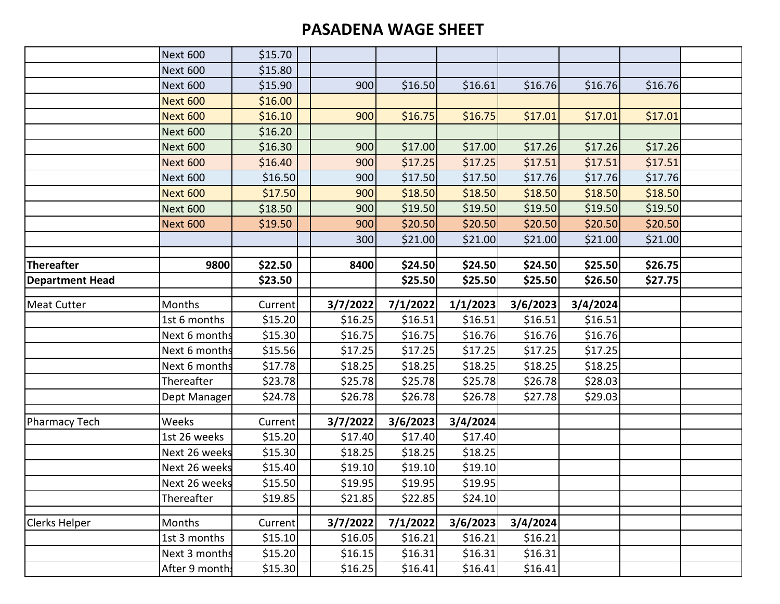## **PASADENA WAGE SHEET**

|                        | <b>Next 600</b> | \$15.70 |          |          |          |          |          |         |  |
|------------------------|-----------------|---------|----------|----------|----------|----------|----------|---------|--|
|                        | <b>Next 600</b> | \$15.80 |          |          |          |          |          |         |  |
|                        | <b>Next 600</b> | \$15.90 | 900      | \$16.50  | \$16.61  | \$16.76  | \$16.76  | \$16.76 |  |
|                        | <b>Next 600</b> | \$16.00 |          |          |          |          |          |         |  |
|                        | <b>Next 600</b> | \$16.10 | 900      | \$16.75  | \$16.75  | \$17.01  | \$17.01  | \$17.01 |  |
|                        | <b>Next 600</b> | \$16.20 |          |          |          |          |          |         |  |
|                        | <b>Next 600</b> | \$16.30 | 900      | \$17.00  | \$17.00  | \$17.26  | \$17.26  | \$17.26 |  |
|                        | <b>Next 600</b> | \$16.40 | 900      | \$17.25  | \$17.25  | \$17.51  | \$17.51  | \$17.51 |  |
|                        | <b>Next 600</b> | \$16.50 | 900      | \$17.50  | \$17.50  | \$17.76  | \$17.76  | \$17.76 |  |
|                        | <b>Next 600</b> | \$17.50 | 900      | \$18.50  | \$18.50  | \$18.50  | \$18.50  | \$18.50 |  |
|                        | <b>Next 600</b> | \$18.50 | 900      | \$19.50  | \$19.50  | \$19.50  | \$19.50  | \$19.50 |  |
|                        | <b>Next 600</b> | \$19.50 | 900      | \$20.50  | \$20.50  | \$20.50  | \$20.50  | \$20.50 |  |
|                        |                 |         | 300      | \$21.00  | \$21.00  | \$21.00  | \$21.00  | \$21.00 |  |
|                        |                 |         |          |          |          |          |          |         |  |
| Thereafter             | 9800            | \$22.50 | 8400     | \$24.50  | \$24.50  | \$24.50  | \$25.50  | \$26.75 |  |
| <b>Department Head</b> |                 | \$23.50 |          | \$25.50  | \$25.50  | \$25.50  | \$26.50  | \$27.75 |  |
| <b>Meat Cutter</b>     | Months          | Current | 3/7/2022 | 7/1/2022 | 1/1/2023 | 3/6/2023 | 3/4/2024 |         |  |
|                        | 1st 6 months    | \$15.20 | \$16.25  | \$16.51  | \$16.51  | \$16.51  | \$16.51  |         |  |
|                        | Next 6 months   | \$15.30 | \$16.75  | \$16.75  | \$16.76  | \$16.76  | \$16.76  |         |  |
|                        | Next 6 months   | \$15.56 | \$17.25  | \$17.25  | \$17.25  | \$17.25  | \$17.25  |         |  |
|                        | Next 6 months   | \$17.78 | \$18.25  | \$18.25  | \$18.25  | \$18.25  | \$18.25  |         |  |
|                        | Thereafter      | \$23.78 | \$25.78  | \$25.78  | \$25.78  | \$26.78  | \$28.03  |         |  |
|                        | Dept Manager    | \$24.78 | \$26.78  | \$26.78  | \$26.78  | \$27.78  | \$29.03  |         |  |
| <b>Pharmacy Tech</b>   | Weeks           | Current | 3/7/2022 | 3/6/2023 | 3/4/2024 |          |          |         |  |
|                        | 1st 26 weeks    | \$15.20 | \$17.40  | \$17.40  | \$17.40  |          |          |         |  |
|                        | Next 26 weeks   | \$15.30 | \$18.25  | \$18.25  | \$18.25  |          |          |         |  |
|                        | Next 26 weeks   | \$15.40 | \$19.10  | \$19.10  | \$19.10  |          |          |         |  |
|                        | Next 26 weeks   | \$15.50 | \$19.95  | \$19.95  | \$19.95  |          |          |         |  |
|                        | Thereafter      | \$19.85 | \$21.85  | \$22.85  | \$24.10  |          |          |         |  |
| <b>Clerks Helper</b>   | Months          | Current | 3/7/2022 | 7/1/2022 | 3/6/2023 | 3/4/2024 |          |         |  |
|                        | 1st 3 months    | \$15.10 | \$16.05  | \$16.21  | \$16.21  | \$16.21  |          |         |  |
|                        | Next 3 months   | \$15.20 | \$16.15  | \$16.31  | \$16.31  | \$16.31  |          |         |  |
|                        | After 9 month:  | \$15.30 | \$16.25  | \$16.41  | \$16.41  | \$16.41  |          |         |  |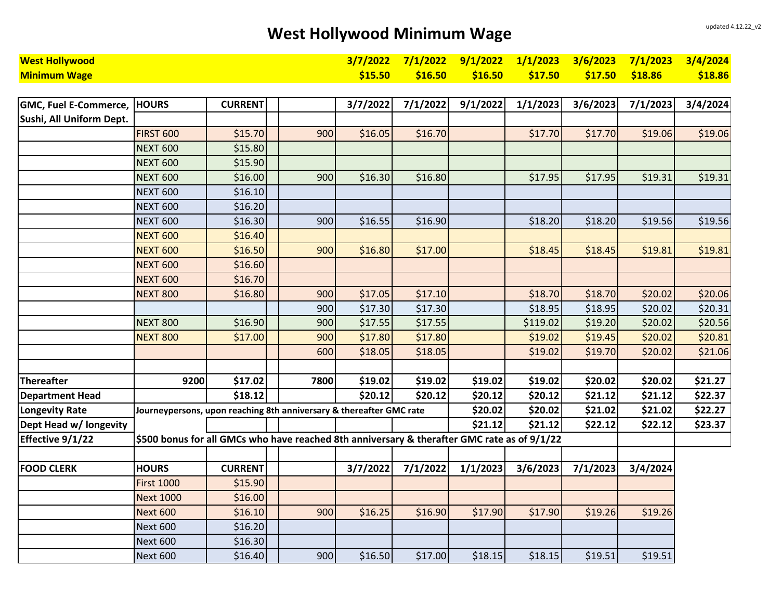# West Hollywood Minimum Wage updated 4.12.22\_v2

| <b>West Hollywood</b>        |                                                                                             |                |      | 3/7/2022 | 7/1/2022 | 9/1/2022 | 1/1/2023 | 3/6/2023 | 7/1/2023 | 3/4/2024 |
|------------------------------|---------------------------------------------------------------------------------------------|----------------|------|----------|----------|----------|----------|----------|----------|----------|
| <b>Minimum Wage</b>          |                                                                                             |                |      | \$15.50  | \$16.50  | \$16.50  | \$17.50  | \$17.50  | \$18.86  | \$18.86  |
|                              |                                                                                             |                |      |          |          |          |          |          |          |          |
| <b>GMC, Fuel E-Commerce,</b> | <b>HOURS</b>                                                                                | <b>CURRENT</b> |      | 3/7/2022 | 7/1/2022 | 9/1/2022 | 1/1/2023 | 3/6/2023 | 7/1/2023 | 3/4/2024 |
| Sushi, All Uniform Dept.     |                                                                                             |                |      |          |          |          |          |          |          |          |
|                              | <b>FIRST 600</b>                                                                            | \$15.70        | 900  | \$16.05  | \$16.70  |          | \$17.70  | \$17.70  | \$19.06  | \$19.06  |
|                              | <b>NEXT 600</b>                                                                             | \$15.80        |      |          |          |          |          |          |          |          |
|                              | <b>NEXT 600</b>                                                                             | \$15.90        |      |          |          |          |          |          |          |          |
|                              | <b>NEXT 600</b>                                                                             | \$16.00        | 900  | \$16.30  | \$16.80  |          | \$17.95  | \$17.95  | \$19.31  | \$19.31  |
|                              | <b>NEXT 600</b>                                                                             | \$16.10        |      |          |          |          |          |          |          |          |
|                              | <b>NEXT 600</b>                                                                             | \$16.20        |      |          |          |          |          |          |          |          |
|                              | <b>NEXT 600</b>                                                                             | \$16.30        | 900  | \$16.55  | \$16.90  |          | \$18.20  | \$18.20  | \$19.56  | \$19.56  |
|                              | <b>NEXT 600</b>                                                                             | \$16.40        |      |          |          |          |          |          |          |          |
|                              | <b>NEXT 600</b>                                                                             | \$16.50        | 900  | \$16.80  | \$17.00  |          | \$18.45  | \$18.45  | \$19.81  | \$19.81  |
|                              | <b>NEXT 600</b>                                                                             | \$16.60        |      |          |          |          |          |          |          |          |
|                              | <b>NEXT 600</b>                                                                             | \$16.70        |      |          |          |          |          |          |          |          |
|                              | <b>NEXT 800</b>                                                                             | \$16.80        | 900  | \$17.05  | \$17.10  |          | \$18.70  | \$18.70  | \$20.02  | \$20.06  |
|                              |                                                                                             |                | 900  | \$17.30  | \$17.30  |          | \$18.95  | \$18.95  | \$20.02  | \$20.31  |
|                              | <b>NEXT 800</b>                                                                             | \$16.90        | 900  | \$17.55  | \$17.55  |          | \$119.02 | \$19.20  | \$20.02  | \$20.56  |
|                              | <b>NEXT 800</b>                                                                             | \$17.00        | 900  | \$17.80  | \$17.80  |          | \$19.02  | \$19.45  | \$20.02  | \$20.81  |
|                              |                                                                                             |                | 600  | \$18.05  | \$18.05  |          | \$19.02  | \$19.70  | \$20.02  | \$21.06  |
|                              |                                                                                             |                |      |          |          |          |          |          |          |          |
| <b>Thereafter</b>            | 9200                                                                                        | \$17.02        | 7800 | \$19.02  | \$19.02  | \$19.02  | \$19.02  | \$20.02  | \$20.02  | \$21.27  |
| <b>Department Head</b>       |                                                                                             | \$18.12        |      | \$20.12  | \$20.12  | \$20.12  | \$20.12  | \$21.12  | \$21.12  | \$22.37  |
| <b>Longevity Rate</b>        | Journeypersons, upon reaching 8th anniversary & thereafter GMC rate                         |                |      |          |          | \$20.02  | \$20.02  | \$21.02  | \$21.02  | \$22.27  |
| Dept Head w/ longevity       |                                                                                             |                |      |          |          | \$21.12  | \$21.12  | \$22.12  | \$22.12  | \$23.37  |
| Effective 9/1/22             | \$500 bonus for all GMCs who have reached 8th anniversary & therafter GMC rate as of 9/1/22 |                |      |          |          |          |          |          |          |          |
|                              |                                                                                             |                |      |          |          |          |          |          |          |          |
| <b>FOOD CLERK</b>            | <b>HOURS</b>                                                                                | <b>CURRENT</b> |      | 3/7/2022 | 7/1/2022 | 1/1/2023 | 3/6/2023 | 7/1/2023 | 3/4/2024 |          |
|                              | <b>First 1000</b>                                                                           | \$15.90        |      |          |          |          |          |          |          |          |
|                              | <b>Next 1000</b>                                                                            | \$16.00        |      |          |          |          |          |          |          |          |
|                              | <b>Next 600</b>                                                                             | \$16.10        | 900  | \$16.25  | \$16.90  | \$17.90  | \$17.90  | \$19.26  | \$19.26  |          |
|                              | <b>Next 600</b>                                                                             | \$16.20        |      |          |          |          |          |          |          |          |
|                              | <b>Next 600</b>                                                                             | \$16.30        |      |          |          |          |          |          |          |          |
|                              | <b>Next 600</b>                                                                             | \$16.40        | 900  | \$16.50  | \$17.00  | \$18.15  | \$18.15  | \$19.51  | \$19.51  |          |